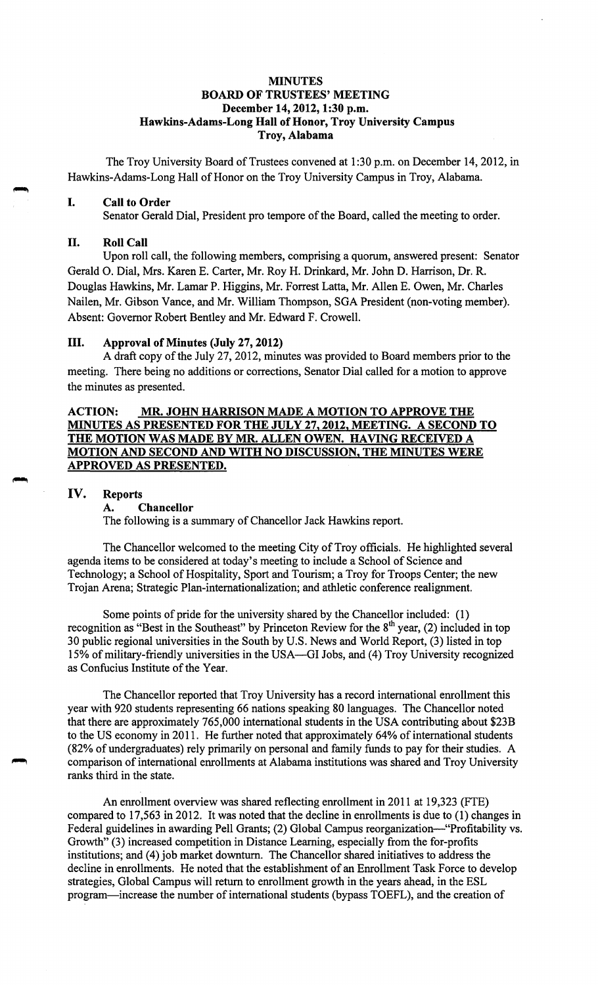### **MINUTES BOARD OF TRUSTEES' MEETING December 14, 2012, 1:30 p.m. Hawkins-Adams-Long Hall of Honor, Troy University Campus Troy, Alabama**

The Troy University Board of Trustees convened at 1:30 p.m. on December 14, 2012, in Hawkins-Adams-Long Hall of Honor on the Troy University Campus in Troy, Alabama.

#### I. **Call to Order**

Senator Gerald Dial, President pro tempore of the Board, called the meeting to order.

#### II. **Roll Call**

Upon roll call, the following members, comprising a quorum, answered present: Senator Gerald 0. Dial, Mrs. Karen E. Carter, Mr. Roy H. Drinkard, Mr. John D. Harrison, Dr. R. Douglas Hawkins, Mr. Lamar P. Higgins, Mr. Forrest Latta, Mr. Allen E. Owen, Mr. Charles Nailen, Mr. Gibson Vance, and Mr. William Thompson, SGA President (non-voting member). Absent: Governor Robert Bentley and Mr. Edward F. Crowell.

### III. **Approval of Minµtes (July 27, 2012)**

A draft copy of the July 27, 2012, minutes was provided to Board members prior to the meeting. There being no additions or corrections, Senator Dial called for a motion to approve the minutes as presented.

# **ACTION: MR. JOHN HARRISON MADE A MOTION TO APPROVE THE MINUTES AS PRESENTED FOR THE JULY 27, 2012, MEETING. A SECOND TO THE MOTION WAS MADE BY MR. ALLEN OWEN. HAVING RECEIVED A MOTION AND SECOND AND WITH NO DISCUSSION, THE MINUTES WERE APPROVED AS PRESENTED.**

#### **IV. Reports**

#### **A. Chancellor**

The following is a summary of Chancellor Jack Hawkins report.

The Chancellor welcomed to the meeting City of Troy officials. He highlighted several agenda items to be considered at today's meeting to include a School of Science and Technology; a School of Hospitality, Sport and Tourism; a Troy for Troops Center; the new Trojan Arena; Strategic Plan-internationalization; and athletic conference realignment.

Some points of pride for the university shared by the Chancellor included: (1) recognition as "Best in the Southeast" by Princeton Review for the  $8<sup>th</sup>$  year, (2) included in top 30 public regional universities in the South by U.S. News and World Report, (3) listed in top 15% of military-friendly universities in the USA—GI Jobs, and (4) Troy University recognized as Confucius Institute of the Year.

The Chancellor reported that Troy University has a record international enrollment this year with 920 students representing 66 nations speaking 80 languages. The Chancellor noted that there are approximately 765,000 international students in the USA contributing about \$23B to the US economy in 2011. He further noted that approximately 64% of international students (82% of undergraduates) rely primarily on personal and family funds to pay for their studies. A comparison of international enrollments at Alabama institutions was shared and Troy University ranks third in the state.

An enrollment overview was shared reflecting enrollment in 2011 at 19,323 (FTE) compared to 17,563 in 2012. It was noted that the decline in enrollments is due to (1) changes in Federal guidelines in awarding Pell Grants; (2) Global Campus reorganization-"Profitability vs. Growth" (3) increased competition in Distance Learning, especially from the for-profits institutions; and (4) job market downturn. The Chancellor shared initiatives to address the decline in enrollments. He noted that the establishment of an Enrollment Task Force to develop strategies, Global Campus will return to enrollment growth in the years ahead, in the ESL program-increase the number of international students (bypass TOEFL), and the creation of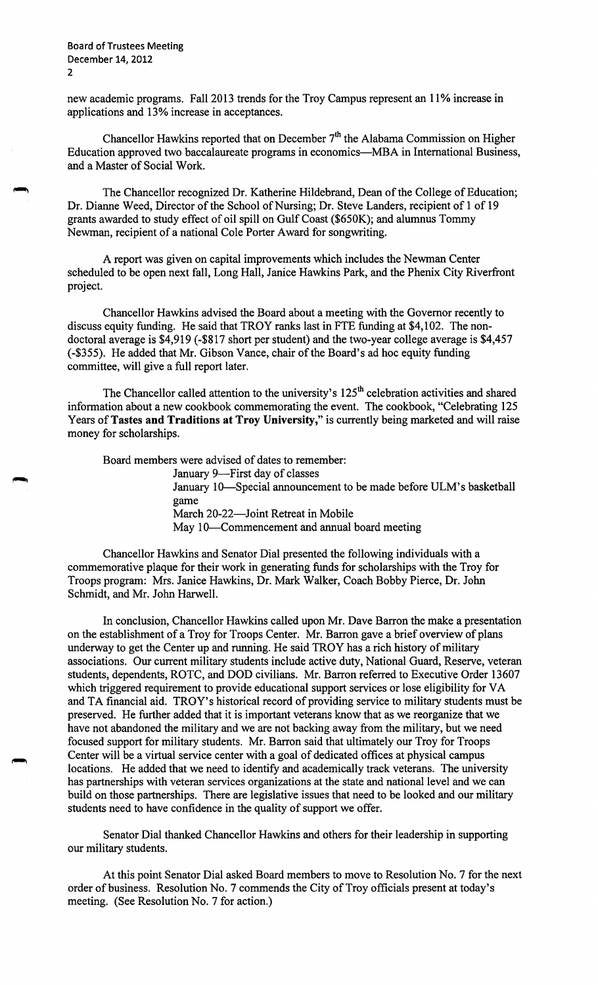~

new academic programs. Fall 2013 trends for the Troy Campus represent an 11% increase in applications and 13% increase in acceptances.

Chancellor Hawkins reported that on December 7<sup>th</sup> the Alabama Commission on Higher Education approved two baccalaureate programs in economics-MBA in International Business, and a Master of Social Work.

The Chancellor recognized Dr. Katherine Hildebrand, Dean of the College of Education; Dr. Dianne Weed, Director of the School of Nursing; Dr. Steve Landers, recipient of 1 of 19 grants awarded to study effect of oil spill on Gulf Coast (\$650K); and alumnus Tommy Newman, recipient of a national Cole Porter Award for songwriting.

A report was given on capital improvements which includes the Newman Center scheduled to be open next fall, Long Hall, Janice Hawkins Park, and the Phenix City Riverfront project.

Chancellor Hawkins advised the Board about a meeting with the Governor recently to discuss equity funding. He said that TROY ranks last in FTE funding at \$4,102. The nondoctoral average is \$4,919 (-\$817 short per student) and the two-year college average is \$4,457 (-\$355). He added that Mr. Gibson Vance, chair of the Board's ad hoc equity funding committee, will give a full report later.

The Chancellor called attention to the university's 125<sup>th</sup> celebration activities and shared information about a new cookbook commemorating the event. The cookbook, "Celebrating 125 Years of **Tastes and Traditions at Troy University,"** is currently being marketed and will raise money for scholarships.

Board members were advised of dates to remember:

January 9-First day of classes January IO-Special announcement to be made before ULM's basketball game March 20-22-Joint Retreat in Mobile May 10-Commencement and annual board meeting

Chancellor Hawkins and Senator Dial presented the following individuals with a commemorative plaque for their work in generating funds for scholarships with the Troy for Troops program: Mrs. Janice Hawkins, Dr. Mark Walker, Coach Bobby Pierce, Dr. John Schmidt, and Mr. John Harwell.

In conclusion, Chancellor Hawkins called upon Mr. Dave Barron the make a presentation on the establishment of a Troy for Troops Center. Mr. Barron gave a brief overview of plans underway to get the Center up and running. He said TROY has a rich history of military associations. Our current military students include active duty, National Guard, Reserve, veteran students, dependents, ROTC, and DOD civilians. Mr. Barron referred to Executive Order 13607 which triggered requirement to provide educational support services or lose eligibility for VA and TA financial aid. TROY's historical record of providing service to military students must be preserved. He further added that it is important veterans know that as we reorganize that we have not abandoned the military and we are not backing away from the military, but we need focused support for military students. Mr. Barron said that ultimately our Troy for Troops Center will be a virtual service center with a goal of dedicated offices at physical campus locations. He added that we need to identify and academically track veterans. The university has partnerships with veteran services organizations at the state and national level and we can build on those partnerships. There are legislative issues that need to be looked and our military students need to have confidence in the quality of support we offer.

Senator Dial thanked Chancellor Hawkins and others for their leadership in supporting our military students.

At this point Senator Dial asked Board members to move to Resolution No. 7 for the next order of business. Resolution No. 7 commends the City of Troy officials present at today's meeting. (See Resolution No. 7 for action.)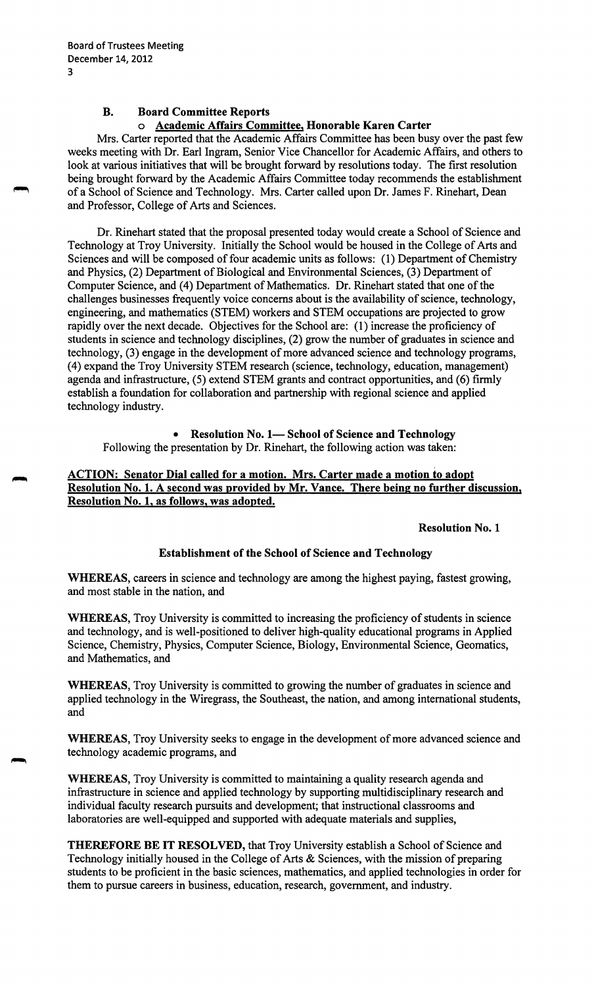# **B. Board Committee Reports**  o **Academic Affairs Committee, Honorable Karen Carter**

Mrs. Carter reported that the Academic Affairs Committee has been busy over the past few weeks meeting with Dr. Earl Ingram, Senior Vice Chancellor for Academic Affairs, and others to look at various initiatives that will be brought forward by resolutions today. The first resolution being brought forward by the Academic Affairs Committee today recommends the establishment of a School of Science and Technology. Mrs. Carter called upon Dr. James F. Rinehart, Dean and Professor, College of Arts and Sciences.

Dr. Rinehart stated that the proposal presented today would create a School of Science and Technology at Troy University. Initially the School would be housed in the College of Arts and Sciences and will be composed of four academic units as follows: (1) Department of Chemistry and Physics, (2) Department of Biological and Environmental Sciences, (3) Department of Computer Science, and (4) Department of Mathematics. Dr. Rinehart stated that one of the challenges businesses frequently voice concerns about is the availability of science, technology, engineering, and mathematics (STEM) workers and STEM occupations are projected to grow rapidly over the next decade. Objectives for the School are: (1) increase the proficiency of students in science and technology disciplines, (2) grow the number of graduates in science and technology, (3) engage in the development of more advanced science and technology programs, (4) expand the Troy University STEM research (science, technology, education, management) agenda and infrastructure, (5) extend STEM grants and contract opportunities, and (6) firmly establish a foundation for collaboration and partnership with regional science and applied technology industry.

# **Resolution No. 1-School of Science and Technology** Following the presentation by Dr. Rinehart, the following action was taken:

**ACTION: Senator Dial called for a motion. Mrs. Carter made a motion to adopt Resolution No. 1. A second was provided by Mr. Vance. There being no further discussion, Resolution No. 1, as follows, was adopted.** 

# **Resolution No. 1**

# **Establishment of the School of Science and Technology**

**WHEREAS,** careers in science and technology are among the highest paying, fastest growing, and most stable in the nation, and

**WHEREAS,** Troy University is committed to increasing the proficiency of students in science and technology, and is well-positioned to deliver high-quality educational programs in Applied Science, Chemistry, Physics, Computer Science, Biology, Environmental Science, Geomatics, and Mathematics, and

**WHEREAS,** Troy University is committed to growing the number of graduates in science and applied technology in the Wiregrass, the Southeast, the nation, and among international students, and

**WHEREAS,** Troy University seeks to engage in the development of more advanced science and technology academic programs, and

**WHEREAS,** Troy University is committed to maintaining a quality research agenda and infrastructure in science and applied technology by supporting multidisciplinary research and individual faculty research pursuits and development; that instructional classrooms and laboratories are well-equipped and supported with adequate materials and supplies,

**THEREFORE BE IT RESOLVED,** that Troy University establish a School of Science and Technology initially housed in the College of Arts & Sciences, with the mission of preparing students to be proficient in the basic sciences, mathematics, and applied technologies in order for them to pursue careers in business, education, research, government, and industry.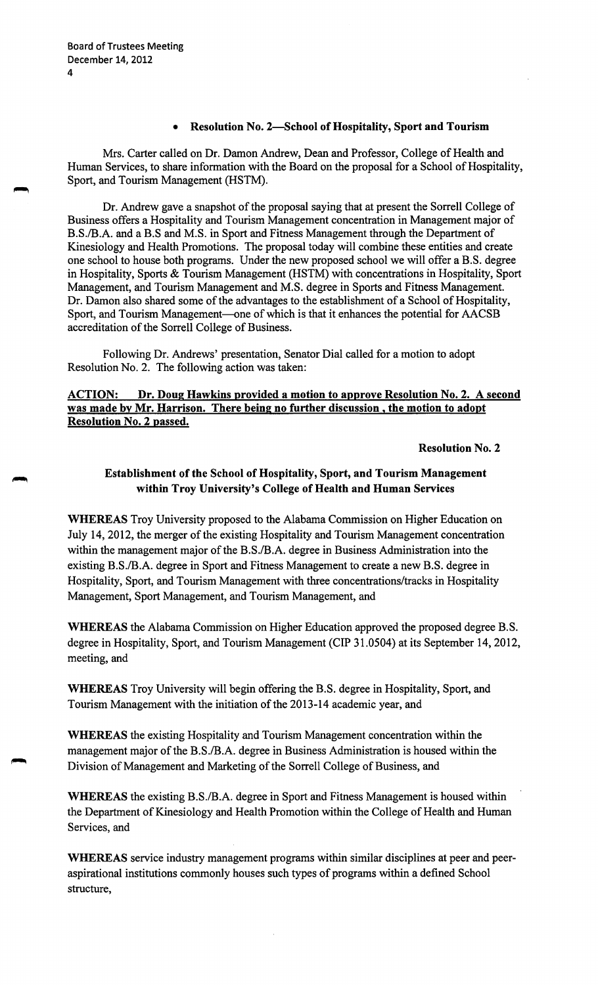# • **Resolution No. 2-School of Hospitality, Sport and Tourism**

Mrs. Carter called on Dr. Damon Andrew, Dean and Professor, College of Health and Human Services, to share information with the Board on the proposal for a School of Hospitality, Sport, and Tourism Management (HSTM).

Dr. Andrew gave a snapshot of the proposal saying that at present the Sorrell College of Business offers a Hospitality and Tourism Management concentration in Management major of B.S./B.A. and a B.S and M.S. in Sport and Fitness Management through the Department of Kinesiology and Health Promotions. The proposal today will combine these entities and create one school to house both programs. Under the new proposed school we will offer a B.S. degree in Hospitality, Sports & Tourism Management (HSTM) with concentrations in Hospitality, Sport Management, and Tourism Management and M.S. degree in Sports and Fitness Management. Dr. Damon also shared some of the advantages to the establishment of a School of Hospitality, Sport, and Tourism Management—one of which is that it enhances the potential for AACSB accreditation of the Sorrell College of Business.

Following Dr. Andrews' presentation, Senator Dial called for a motion to adopt Resolution No. 2. The following action was taken:

# **ACTION: Dr. Doug Hawkins provided a motion to approve Resolution No. 2. A second was made by Mr. Harrison. There being no further discussion** , **the motion to adopt Resolution No. 2 passed.**

**Resolution No. 2** 

# **Establishment of the School of Hospitality, Sport, and Tourism Management within Troy University's College of Health and Human Services**

**WHEREAS** Troy University proposed to the Alabama Commission on Higher Education on July 14, 2012, the merger of the existing Hospitality and Tourism Management concentration within the management major of the B.S./B.A. degree in Business Administration into the existing B.S./B.A. degree in Sport and Fitness Management to create a new B.S. degree in Hospitality, Sport, and Tourism Management with three concentrations/tracks in Hospitality Management, Sport Management, and Tourism Management, and

WHEREAS the Alabama Commission on Higher Education approved the proposed degree B.S. degree in Hospitality, Sport, and Tourism Management (CIP 31.0504) at its September 14, 2012, meeting, and

**WHEREAS** Troy University will begin offering the B.S. degree in Hospitality, Sport, and Tourism Management with the initiation of the 2013-14 academic year, and

**WHEREAS** the existing Hospitality and Tourism Management concentration within the management major of the B.S./B.A. degree in Business Administration is housed within the Division of Management and Marketing of the Sorrell College of Business, and

**WHEREAS** the existing B.S./B.A. degree in Sport and Fitness Management is housed within the Department of Kinesiology and Health Promotion within the College of Health and Human Services, and

**WHEREAS** service industry management programs within similar disciplines at peer and peeraspirational institutions commonly houses such types of programs within a defined School structure,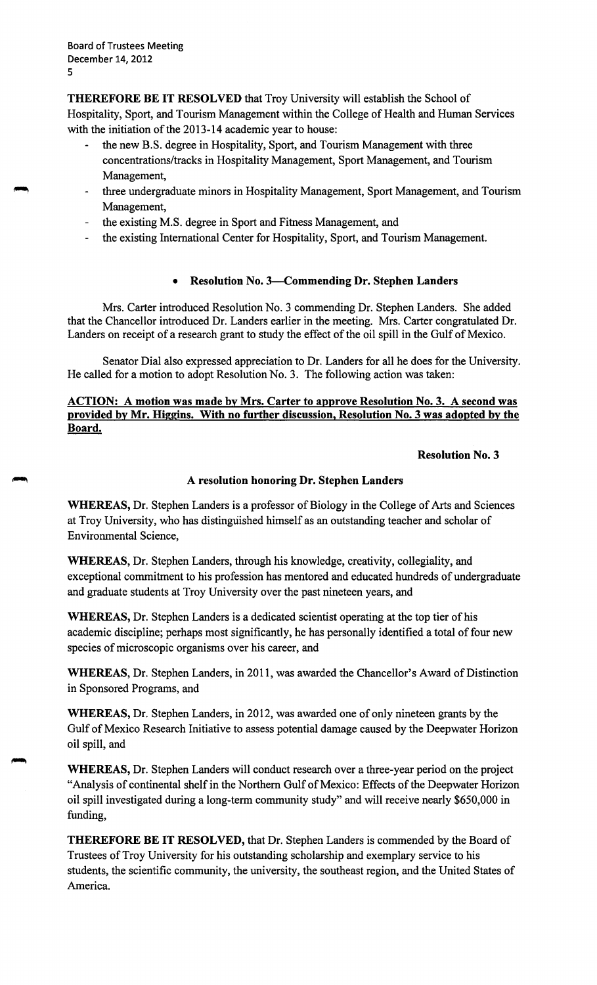**THEREFORE BE IT RESOLVED** that Troy University will establish the School of Hospitality, Sport, and Tourism Management within the College of Health and Human Services with the initiation of the 2013-14 academic year to house:

- the new B.S. degree in Hospitality, Sport, and Tourism Management with three concentrations/tracks in Hospitality Management, Sport Management, and Tourism Management,
- three undergraduate minors in Hospitality Management, Sport Management, and Tourism Management,
- the existing M.S. degree in Sport and Fitness Management, and
- the existing International Center for Hospitality, Sport, and Tourism Management.

# • **Resolution No. 3-Commending Dr. Stephen Landers**

Mrs. Carter introduced Resolution No. 3 commending Dr. Stephen Landers. She added that the Chancellor introduced Dr. Landers earlier in the meeting. Mrs. Carter congratulated Dr. Landers on receipt of a research grant to study the effect of the oil spill in the Gulf of Mexico.

Senator Dial also expressed appreciation to Dr. Landers for all he does for the University. He called for a motion to adopt Resolution No. 3. The following action was taken:

**ACTION: A motion was made by Mrs. Carter to approve Resolution No. 3. A second was provided by Mr. Higgins. With no further discussion, Resolution No. 3 was adopted by the Board.** 

# **Resolution No. 3**

# **A resolution honoring Dr. Stephen Landers**

**WHEREAS,** Dr. Stephen Landers is a professor of Biology in the College of Arts and Sciences at Troy University, who has distinguished himself as an outstanding teacher and scholar of Environmental Science,

**WHEREAS,** Dr. Stephen Landers, through his knowledge, creativity, collegiality, and exceptional commitment to his profession has mentored and educated hundreds of undergraduate and graduate students at Troy University over the past nineteen years, and

**WHEREAS,** Dr. Stephen Landers is a dedicated scientist operating at the top tier of his academic discipline; perhaps most significantly, he has personally identified a total of four new species of microscopic organisms over his career, and

**WHEREAS,** Dr. Stephen Landers, in 2011, was awarded the Chancellor's Award of Distinction in Sponsored Programs, and

**WHEREAS,** Dr. Stephen Landers, in 2012, was awarded one of only nineteen grants by the Gulf of Mexico Research Initiative to assess potential damage caused by the Deepwater Horizon oil spill, and

**WHEREAS,** Dr. Stephen Landers will conduct research over a three-year period on the project "Analysis of continental shelf in the Northern Gulf of Mexico: Effects of the Deepwater Horizon oil spill investigated during a long-term community study" and will receive nearly \$650,000 in funding,

**THEREFORE BE IT RESOLVED,** that Dr. Stephen Landers is commended by the Board of Trustees of Troy University for his outstanding scholarship and exemplary service to his students, the scientific community, the university, the southeast region, and the United States of America.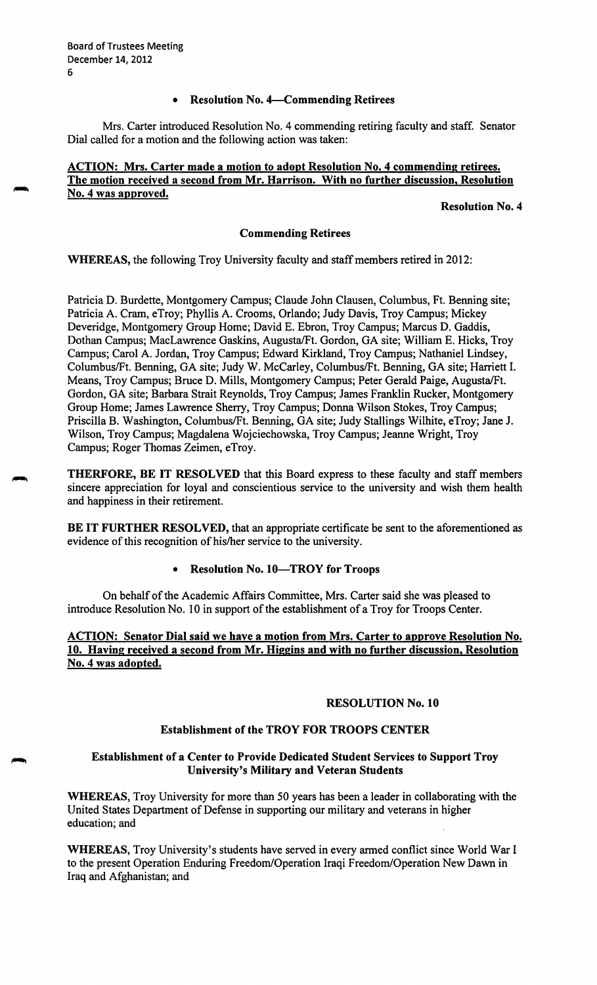# • **Resolution No. 4-Commending Retirees**

Mrs. Carter introduced Resolution No. 4 commending retiring faculty and staff. Senator Dial called for a motion and the following action was taken:

### **ACTION: Mrs. Carter made a motion to adopt Resolution No. 4 commending retirees. The motion received a second from Mr. Harrison. With no further discussion, Resolution No. 4 was approved.**

**Resolution No. 4** 

### **Commending Retirees**

**WHEREAS,** the following Troy University faculty and staff members retired in 2012:

Patricia D. Burdette, Montgomery Campus; Claude John Clausen, Columbus, Ft. Benning site; Patricia A. Cram, eTroy; Phyllis A. Crooms, Orlando; Judy Davis, Troy Campus; Mickey Deveridge, Montgomery Group Home; David E. Ebron, Troy Campus; Marcus D. Gaddis, Dothan Campus; MacLawrence Gaskins, Augusta/Ft. Gordon, GA site; William E. Hicks, Troy Campus; Carol A. Jordan, Troy Campus; Edward Kirkland, Troy Campus; Nathaniel Lindsey, Columbus/Ft. Benning, GA site; Judy W. McCarley, Columbus/Ft. Benning, GA site; Harriett I. Means, Troy Campus; Bruce D. Mills, Montgomery Campus; Peter Gerald Paige, Augusta/Ft. Gordon, GA site; Barbara Strait Reynolds, Troy Campus; James Franklin Rucker, Montgomery Group Home; James Lawrence Sherry, Troy Campus; Donna Wilson Stokes, Troy Campus; Priscilla B. Washington, Columbus/Ft. Benning, GA site; Judy Stallings Wilhite, eTroy; Jane J. Wilson, Troy Campus; Magdalena Wojciechowska, Troy Campus; Jeanne Wright, Troy Campus; Roger Thomas Zeimen, eTroy.

**THERFORE, BE IT RESOLVED** that this Board express to these faculty and staff members sincere appreciation for loyal and conscientious service to the university and wish them health and happiness in their retirement.

**BE IT FURTHER RESOLVED,** that an appropriate certificate be sent to the aforementioned as evidence of this recognition of his/her service to the university.

### • **Resolution No. 10-TROY for Troops**

On behalf of the Academic Affairs Committee, Mrs. Carter said she was pleased to introduce Resolution No. 10 in support of the establishment of a Troy for Troops Center.

# **ACTION: Senator Dial said we have a motion from Mrs. Carter to approve Resolution No. 10. Having received a second from Mr. Higgins and with no further discussion, Resolution No. 4 was adopted.**

### **RESOLUTION No. 10**

# **Establishment of the TROY FOR TROOPS CENTER**

# **Establishment of a Center to Provide Dedicated Student Services to Support Troy University's Military and Veteran Students**

**WHEREAS,** Troy University for more than 50 years has been a leader in collaborating with the United States Department of Defense in supporting our military and veterans in higher education; and

**WHEREAS,** Troy University's students have served in every armed conflict since World War I to the present Operation Enduring Freedom/Operation Iraqi Freedom/Operation New Dawn in Iraq and Afghanistan; and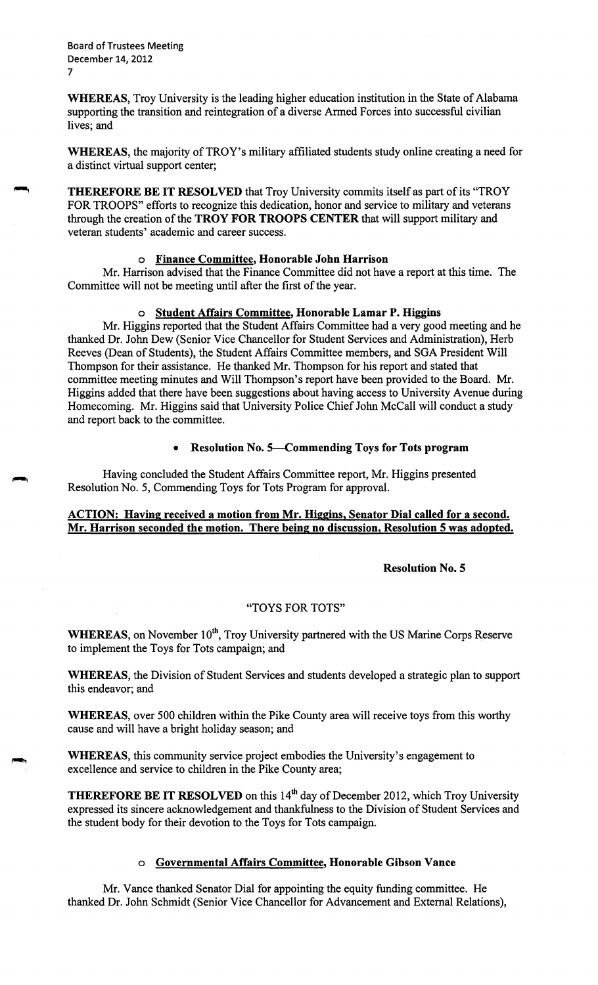Board of Trustees Meeting December 14, 2012 7

**WHEREAS,** Troy University is the leading higher education institution in the State of Alabama supporting the transition and reintegration of a diverse Armed Forces into successful civilian lives; and

WHEREAS, the majority of TROY's military affiliated students study online creating a need for a distinct virtual support center;

~ **THEREFORE BE IT RESOLVED** that Troy University commits itself as part of its "TROY FOR TROOPS" efforts to recognize this dedication, honor and service to military and veterans through the creation of the **TROY FOR TROOPS CENTER** that will support military and veteran students' academic and career success.

### o **Finance Committee, Honorable John Harrison**

Mr. Harrison advised that the Finance Committee did not have a report at this time. The Committee will not be meeting until after the first of the year.

### o **Student Affairs Committee, Honorable Lamar P. Higgins**

Mr. Higgins reported that the Student Affairs Committee had a very good meeting and he thanked Dr. John Dew (Senior Vice Chancellor for Student Services and Administration), Herb Reeves (Dean of Students), the Student Affairs Committee members, and SGA President Will Thompson for their assistance. He {hanked Mr. Thompson for his report and stated that committee meeting minutes and Will Thompson's report have been provided to the Board. Mr. Higgins added that there have been suggestions about having access to University A venue during Homecoming. Mr. Higgins said that University Police Chief John McCall will conduct a study and report back to the committee.

# • **Resolution No. 5-Commending Toys for Tots program**

Having concluded the Student Affairs Committee report, Mr. Higgins presented Resolution No. 5, Commending Toys for Tots Program for approval.

# **ACTION: Having received a motion from Mr. Higgins, Senator Dial called for a second. Mr. Harrison seconded the motion. There being no discussion, Resolution 5 was adopted.**

#### **Resolution No. 5**

#### "TOYS FOR TOTS"

WHEREAS, on November 10<sup>th</sup>, Troy University partnered with the US Marine Corps Reserve to implement the Toys for Tots campaign; and

**WHEREAS,** the Division of Student Services and students developed a strategic plan to support this endeavor; and

**WHEREAS,** over 500 children within the Pike County area will receive toys from this worthy cause and will have a bright holiday season; and

**WHEREAS,** this community service project embodies the University's engagement to excellence and service to children in the Pike County area;

**THEREFORE BE IT RESOLVED** on this 14<sup>th</sup> day of December 2012, which Troy University expressed its sincere acknowledgement and thankfulness to the Division of Student Services and the student body for their devotion to the Toys for Tots campaign.

# o **Governmental Affairs Committee, Honorable Gibson Vance**

Mr. Vance thanked Senator Dial for appointing the equity funding committee. He thanked Dr. John Schmidt (Senior Vice Chancellor for Advancement and External Relations),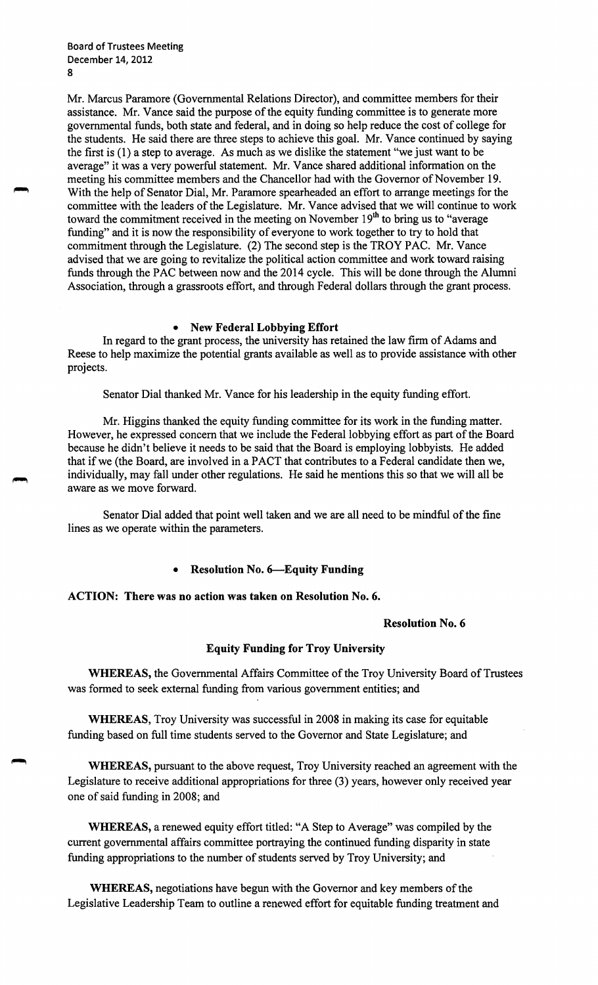Mr. Marcus Paramore (Governmental Relations Director), and committee members for their assistance. Mr. Vance said the purpose of the equity funding committee is to generate more governmental funds, both state and federal, and in doing so help reduce the cost of college for the students. He said there are three steps to achieve this goal. Mr. Vance continued by saying the first is (1) a step to average. As much as we dislike the statement "we just want to be average" it was a very powerful statement. Mr. Vance shared additional information on the meeting his committee members and the Chancellor had with the Governor of November 19. With the help of Senator Dial, Mr. Paramore spearheaded an effort to arrange meetings for the committee with the leaders of the Legislature. Mr. Vance advised that we will continue to work toward the commitment received in the meeting on November 19<sup>th</sup> to bring us to "average" funding" and it is now the responsibility of everyone to work together to try to hold that commitment through the Legislature. (2) The second step is the TROY PAC. Mr. Vance advised that we are going to revitalize the political action committee and work toward raising funds through the PAC between now and the 2014 cycle. This will be done through the Alumni Association, through a grassroots effort, and through Federal dollars through the grant process.

#### • **New Federal Lobbying Effort**

In regard to the grant process, the university has retained the law firm of Adams and Reese to help maximize the potential grants available as well as to provide assistance with other projects.

Senator Dial thanked Mr. Vance for his leadership in the equity funding effort.

Mr. Higgins thanked the equity funding committee for its work in the funding matter. However, he expressed concern that we include the Federal lobbying effort as part of the Board because he didn't believe it needs to be said that the Board is employing lobbyists. He added that if we (the Board, are involved in a PACT that contributes to a Federal candidate then we, individually, may fall under other regulations. He said he mentions this so that we will all be aware as we move forward.

Senator Dial added that point well taken and we are all need to be mindful of the fine lines as we operate within the parameters.

• **Resolution No. 6-Equity Funding** 

**ACTION: There was no action was taken on Resolution No. 6.** 

#### **Resolution No. 6**

#### **Equity Funding for Troy University**

**WHEREAS,** the Governmental Affairs Committee of the Troy University Board of Trustees was formed to seek external funding from various government entities; and

**WHEREAS,** Troy University was successful in 2008 in making its case for equitable funding based on full time students served to the Governor and State Legislature; and

**WHEREAS,** pursuant to the above request, Troy University reached an agreement with the Legislature to receive additional appropriations for three (3) years, however only received year one of said funding in 2008; and

**WHEREAS,** a renewed equity effort titled: "A Step to Average" was compiled by the current governmental affairs committee portraying the continued funding disparity in state funding appropriations to the number of students served by Troy University; and

**WHEREAS,** negotiations have begun with the Governor and key members of the Legislative Leadership Team to outline a renewed effort for equitable funding treatment and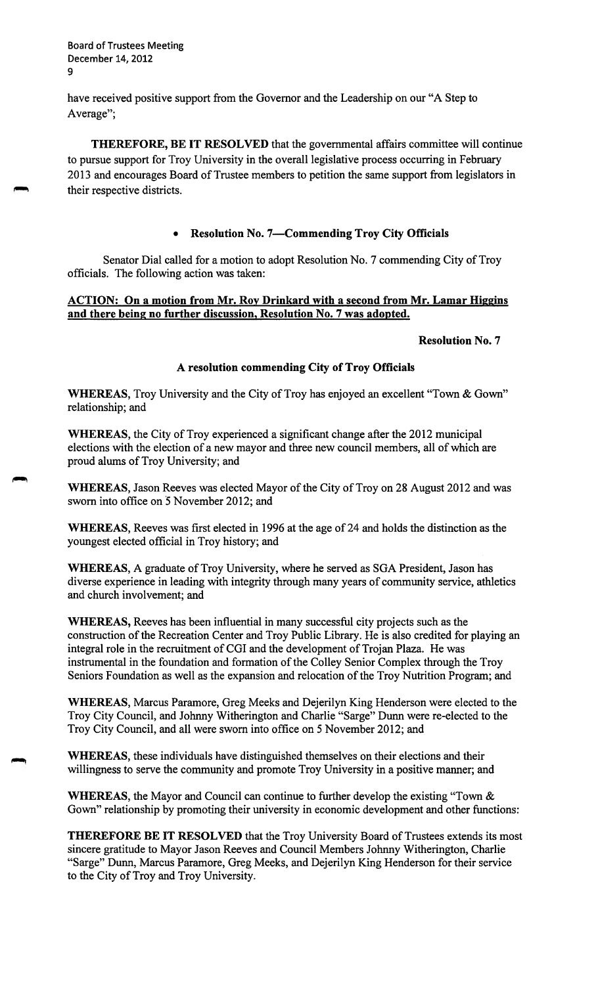9 Board of Trustees Meeting December 14, 2012

have received positive support from the Governor and the Leadership on our "A Step to Average";

**THEREFORE, BE IT RESOLVED** that the governmental affairs committee will continue to pursue support for Troy University in the overall legislative process occurring in February 2013 and encourages Board of Trustee members to petition the same support from legislators in their respective districts.

### • **Resolution No. 7-Commending Troy City Officials**

Senator Dial called for a motion to adopt Resolution No. 7 commending City of Troy officials. The following action was taken:

# **ACTION: On a motion from Mr. Roy Drinkard with a second from Mr. Lamar Higgins and there being no further discussion, Resolution No.** 7 **was adopted.**

#### **Resolution No. 7**

### **A resolution commending City of Troy Officials**

**WHEREAS,** Troy University and the City of Troy has enjoyed an excellent "Town & Gown" relationship; and

**WHEREAS,** the City of Troy experienced a significant change after the 2012 municipal elections with the election of a new mayor and three new council members, all of which are proud alums of Troy University; and

**WHEREAS,** Jason Reeves was elected Mayor of the City of Troy on 28 August 2012 and was sworn into office on 5 November 2012; and

**WHEREAS,** Reeves was first elected in 1996 at the age of 24 and holds the distinction as the youngest elected official in Troy history; and

**WHEREAS,** A graduate of Troy University, where he served as SGA President, Jason has diverse experience in leading with integrity through many years of community service, athletics and church involvement; and

**WHEREAS,** Reeves has been influential in many successful city projects such as the construction of the Recreation Center and Troy Public Library. He is also credited for playing an integral role in the recruitment of CGI and the development of Trojan Plaza. He was instrumental in the foundation and formation of the Colley Senior Complex through the Troy Seniors Foundation as well as the expansion and relocation of the Troy Nutrition Program; and

**WHEREAS,** Marcus Paramore, Greg Meeks and Dejerilyn King Henderson were elected to the Troy City Council, and Johnny Witherington and Charlie "Sarge" Dunn were re-elected to the Troy City Council, and all were sworn into office on 5 November 2012; and

**WHEREAS,** these individuals have distinguished themselves on their elections and their willingness to serve the community and promote Troy University in a positive manner; and

**WHEREAS,** the Mayor and Council can continue to further develop the existing "Town & Gown" relationship by promoting their university in economic development and other functions:

**THEREFORE BE IT RESOLVED** that the Troy University Board of Trustees extends its most sincere gratitude to Mayor Jason Reeves and Council Members Johnny Witherington, Charlie "Sarge" Dunn, Marcus Paramore, Greg Meeks, and Dejerilyn King Henderson for their service to the City of Troy and Troy University.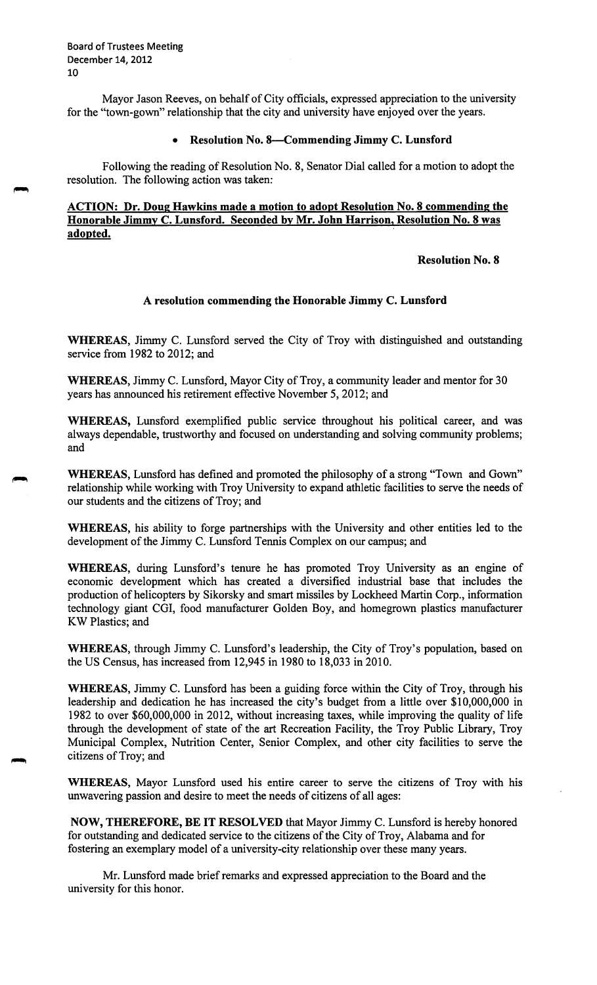10 Board of Trustees Meeting December 14, 2012

Mayor Jason Reeves, on behalf of City officials, expressed appreciation to the university for the "town-gown" relationship that the city and university have enjoyed over the years.

#### • **Resolution No. 8-Commending Jimmy C. Lunsford**

Following the reading of Resolution No. 8, Senator Dial called for a motion to adopt the resolution. The following action was taken:

# **ACTION: Dr. Doug Hawkins made a motion to adopt Resolution No. 8 commending the Honorable Jimmy C. Lunsford. Seconded by Mr. John Harrison, Resolution No. 8 was adopted.** ·

# **Resolution No. 8**

### **A resolution commending the Honorable Jimmy C. Lunsford**

**WHEREAS,** Jimmy C. Lunsford served the City of Troy with distinguished and outstanding service from 1982 to 2012; and

**WHEREAS,** Jimmy C. Lunsford, Mayor City of Troy, a community leader and mentor for 30 years has announced his retirement effective November 5, 2012; and

**WHEREAS,** Lunsford exemplified public service throughout his political career, and was always dependable, trustworthy and focused on understanding and solving community problems; and

**WHEREAS,** Lunsford has defined and promoted the philosophy of a strong "Town and Gown" relationship while working with Troy University to expand athletic facilities to serve the needs of our students and the citizens of Troy; and

**WHEREAS,** his ability to forge partnerships with the University and other entities led to the development of the Jimmy C. Lunsford Tennis Complex on our campus; and

**WHEREAS,** during Lunsford's tenure he has promoted Troy University as an engine of economic development which has created a diversified industrial base that includes the production of helicopters by Sikorsky and smart missiles by Lockheed Martin Corp., information technology giant COi, food manufacturer Golden Boy, and homegrown plastics manufacturer KW Plastics; and

**WHEREAS,** through Jimmy C. Lunsford's leadership, the City of Troy's population, based on the US Census, has increased from 12,945 in 1980 to 18,033 in 2010.

**WHEREAS,** Jimmy C. Lunsford has been a guiding force within the City of Troy, through his leadership and dedication he has increased the city's budget from a little over \$10,000,000 in 1982 to over \$60,000,000 in 2012, without increasing taxes, while improving the quality of life through the development of state of the art Recreation Facility, the Troy Public Library, Troy Municipal Complex, Nutrition Center, Senior Complex, and other city facilities to serve the citizens of Troy; and

**WHEREAS,** Mayor Lunsford used his entire career to serve the citizens of Troy with his unwavering passion and desire to meet the needs of citizens of all ages:

**NOW, THEREFORE, BE IT RESOLVED** that Mayor Jimmy C. Lunsford is hereby honored for outstanding and dedicated service to the citizens of the City of Troy, Alabama and for fostering an exemplary model of a university-city relationship over these many years.

Mr. Lunsford made brief remarks and expressed appreciation to the Board and the university for this honor.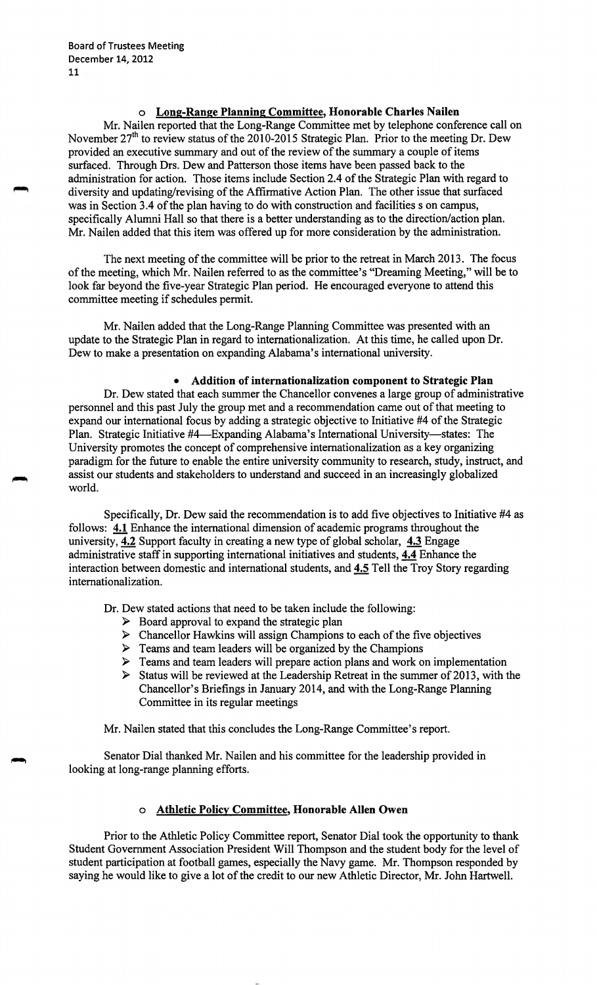### **o Long-Range Planning Committee, Honorable Charles Nailen**

Mr. Nailen reported that the Long-Range Committee met by telephone conference call on November  $27<sup>th</sup>$  to review status of the 2010-2015 Strategic Plan. Prior to the meeting Dr. Dew provided an executive summary and out of the review of the summary a couple of items surfaced. Through Drs. Dew and Patterson those items have been passed back to the administration for action. Those items include Section 2.4 of the Strategic Plan with regard to diversity and updating/revising of the Affirmative Action Plan. The other issue that surfaced was in Section 3 .4 of the plan having to do with construction and facilities s on campus, specifically Alumni Hall so that there is a better understanding as to the direction/action plan. Mr. Nailen added that this item was offered up for more consideration by the administration.

The next meeting of the committee will be prior to the retreat in March 2013. The focus of the meeting, which Mr. Nailen referred to as the committee's "Dreaming Meeting," will be to look far beyond the five-year Strategic Plan period. He encouraged everyone to attend this committee meeting if schedules permit.

Mr. Nailen added that the Long-Range Planning Committee was presented with an update to the Strategic Plan in regard to internationalization. At this time, he called upon Dr. Dew to make a presentation on expanding Alabama's international university.

#### • **Addition of internationalization component to Strategic Plan**

Dr. Dew stated that each summer the Chancellor convenes a large group of administrative personnel and this past July the group met and a recommendation came out of that meeting to expand our international focus by adding a strategic objective to Initiative #4 of the Strategic Plan. Strategic Initiative #4—Expanding Alabama's International University—states: The University promotes the concept of comprehensive internationalization as a key organizing paradigm for the future to enable the entire university community to research, study, instruct, and assist our students and stakeholders to understand and succeed in an increasingly globalized world.

Specifically, Dr. Dew said the recommendation is to add five objectives to Initiative #4 as follows: **4.1** Enhance the international dimension of academic programs throughout the university, 4.2 Support faculty in creating a new type of global scholar, **4.3** Engage administrative staff in supporting international initiatives and students, **4.4** Enhance the interaction between domestic and international students, and **4.5** Tell the Troy Story regarding internationalization.

Dr. Dew stated actions that need to be taken include the following:

- $\triangleright$  Board approval to expand the strategic plan
- ► Chancellor Hawkins will assign Champions to each of the five objectives
- ► Teams and team leaders will be organized by the Champions
- ► Teams and team leaders will prepare action plans and work on implementation
- ► Status will be reviewed at the Leadership Retreat in the summer of 2013, with the Chancellor's Briefings in January 2014, and with the Long-Range Planning Committee in its regular meetings

Mr. Nailen stated that this concludes the Long-Range Committee's report.

Senator Dial thanked Mr. Nailen and his committee for the leadership provided in looking at long-range planning efforts.

#### o **Athletic Policy Committee, Honorable Allen Owen**

Prior to the Athletic Policy Committee report, Senator Dial took the opportunity to thank Student Government Association President Will Thompson and the student body for the level of student participation at football games, especially the Navy game. Mr. Thompson responded by saying he would like to give a lot of the credit to our new Athletic Director, Mr. John Hartwell.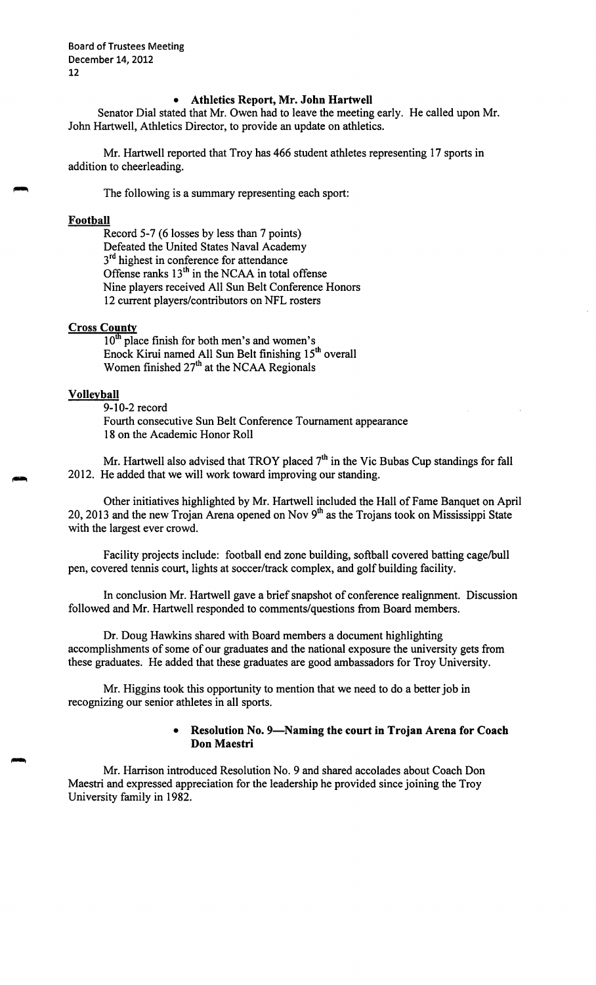12 Board of Trustees Meeting December 14, 2012

#### • **Athletics Report, Mr. John Hartwell**

Senator Dial stated that Mr. Owen had to leave the meeting early. He called upon Mr. John Hartwell, Athletics Director, to provide an update on athletics.

Mr. Hartwell reported that Troy has 466 student athletes representing 17 sports in addition to cheerleading.

The following is a summary representing each sport:

#### **Football**

Record 5-7 (6 losses by less than 7 points) Defeated the United States Naval Academy  $3<sup>rd</sup>$  highest in conference for attendance Offense ranks  $13<sup>th</sup>$  in the NCAA in total offense Nine players received All Sun Belt Conference Honors 12 current players/contributors on NFL rosters

### **Cross County**

 $10<sup>th</sup>$  place finish for both men's and women's Enock Kirui named All Sun Belt finishing 15<sup>th</sup> overall Women finished 27<sup>th</sup> at the NCAA Regionals

### **Volleyball**

# 9-10-2 record

Fourth consecutive Sun Belt Conference Tournament appearance 18 on the Academic Honor Roll

Mr. Hartwell also advised that TROY placed  $7<sup>th</sup>$  in the Vic Bubas Cup standings for fall 2012. He added that we will work toward improving our standing.

Other initiatives highlighted by Mr. Hartwell included the Hall of Fame Banquet on April 20, 2013 and the new Trojan Arena opened on Nov 9<sup>th</sup> as the Trojans took on Mississippi State with the largest ever crowd.

Facility projects include: football end zone building, softball covered batting cage/bull pen, covered tennis court, lights at soccer/track complex, and golf building facility.

In conclusion Mr. Hartwell gave a brief snapshot of conference realignment. Discussion followed and Mr. Hartwell responded to comments/questions from Board members.

Dr. Doug Hawkins shared with Board members a document highlighting accomplishments of some of our graduates and the national exposure the university gets from these graduates. He added that these graduates are good ambassadors for Troy University.

Mr. Higgins took this opportunity to mention that we need to do a better job in recognizing our senior athletes in all sports.

# • **Resolution No. 9-Naming the court in Trojan Arena for Coach Don Maestri**

Mr. Harrison introduced Resolution No. 9 and shared accolades about Coach Don Maestri and expressed appreciation for the leadership he provided since joining the Troy University family in 1982.